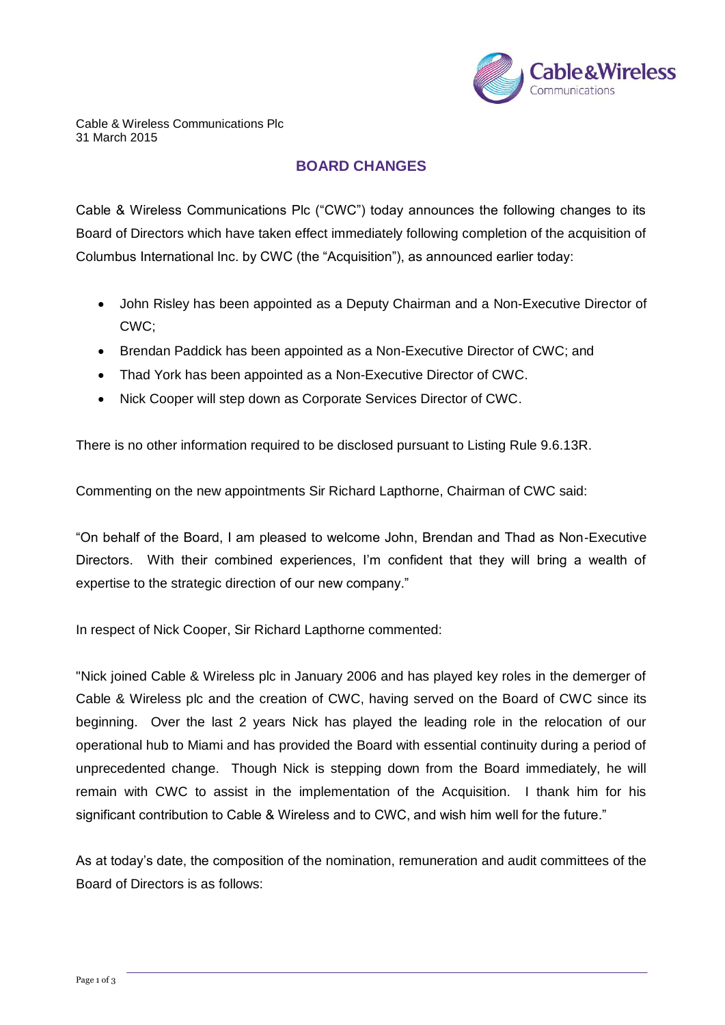

## **BOARD CHANGES**

Cable & Wireless Communications Plc ("CWC") today announces the following changes to its Board of Directors which have taken effect immediately following completion of the acquisition of Columbus International Inc. by CWC (the "Acquisition"), as announced earlier today:

- John Risley has been appointed as a Deputy Chairman and a Non-Executive Director of CWC;
- Brendan Paddick has been appointed as a Non-Executive Director of CWC; and
- Thad York has been appointed as a Non-Executive Director of CWC.
- Nick Cooper will step down as Corporate Services Director of CWC.

There is no other information required to be disclosed pursuant to Listing Rule 9.6.13R.

Commenting on the new appointments Sir Richard Lapthorne, Chairman of CWC said:

"On behalf of the Board, I am pleased to welcome John, Brendan and Thad as Non-Executive Directors. With their combined experiences, I'm confident that they will bring a wealth of expertise to the strategic direction of our new company."

In respect of Nick Cooper, Sir Richard Lapthorne commented:

"Nick joined Cable & Wireless plc in January 2006 and has played key roles in the demerger of Cable & Wireless plc and the creation of CWC, having served on the Board of CWC since its beginning. Over the last 2 years Nick has played the leading role in the relocation of our operational hub to Miami and has provided the Board with essential continuity during a period of unprecedented change. Though Nick is stepping down from the Board immediately, he will remain with CWC to assist in the implementation of the Acquisition. I thank him for his significant contribution to Cable & Wireless and to CWC, and wish him well for the future."

As at today's date, the composition of the nomination, remuneration and audit committees of the Board of Directors is as follows: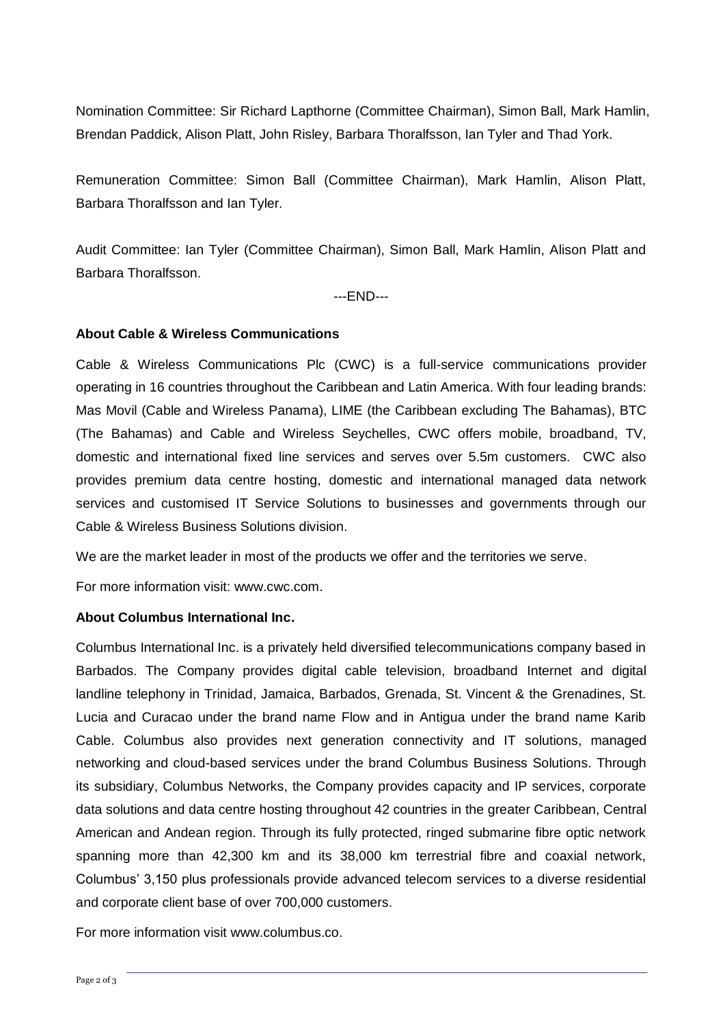Nomination Committee: Sir Richard Lapthorne (Committee Chairman), Simon Ball, Mark Hamlin, Brendan Paddick, Alison Platt, John Risley, Barbara Thoralfsson, Ian Tyler and Thad York.

Remuneration Committee: Simon Ball (Committee Chairman), Mark Hamlin, Alison Platt, Barbara Thoralfsson and Ian Tyler.

Audit Committee: Ian Tyler (Committee Chairman), Simon Ball, Mark Hamlin, Alison Platt and Barbara Thoralfsson.

---END---

## **About Cable & Wireless Communications**

Cable & Wireless Communications Plc (CWC) is a full-service communications provider operating in 16 countries throughout the Caribbean and Latin America. With four leading brands: Mas Movil (Cable and Wireless Panama), LIME (the Caribbean excluding The Bahamas), BTC (The Bahamas) and Cable and Wireless Seychelles, CWC offers mobile, broadband, TV, domestic and international fixed line services and serves over 5.5m customers. CWC also provides premium data centre hosting, domestic and international managed data network services and customised IT Service Solutions to businesses and governments through our Cable & Wireless Business Solutions division.

We are the market leader in most of the products we offer and the territories we serve.

For more information visit: www.cwc.com.

## **About Columbus International Inc.**

Columbus International Inc. is a privately held diversified telecommunications company based in Barbados. The Company provides digital cable television, broadband Internet and digital landline telephony in Trinidad, Jamaica, Barbados, Grenada, St. Vincent & the Grenadines, St. Lucia and Curacao under the brand name Flow and in Antigua under the brand name Karib Cable. Columbus also provides next generation connectivity and IT solutions, managed networking and cloud-based services under the brand Columbus Business Solutions. Through its subsidiary, Columbus Networks, the Company provides capacity and IP services, corporate data solutions and data centre hosting throughout 42 countries in the greater Caribbean, Central American and Andean region. Through its fully protected, ringed submarine fibre optic network spanning more than 42,300 km and its 38,000 km terrestrial fibre and coaxial network, Columbus' 3,150 plus professionals provide advanced telecom services to a diverse residential and corporate client base of over 700,000 customers.

For more information visit www.columbus.co.